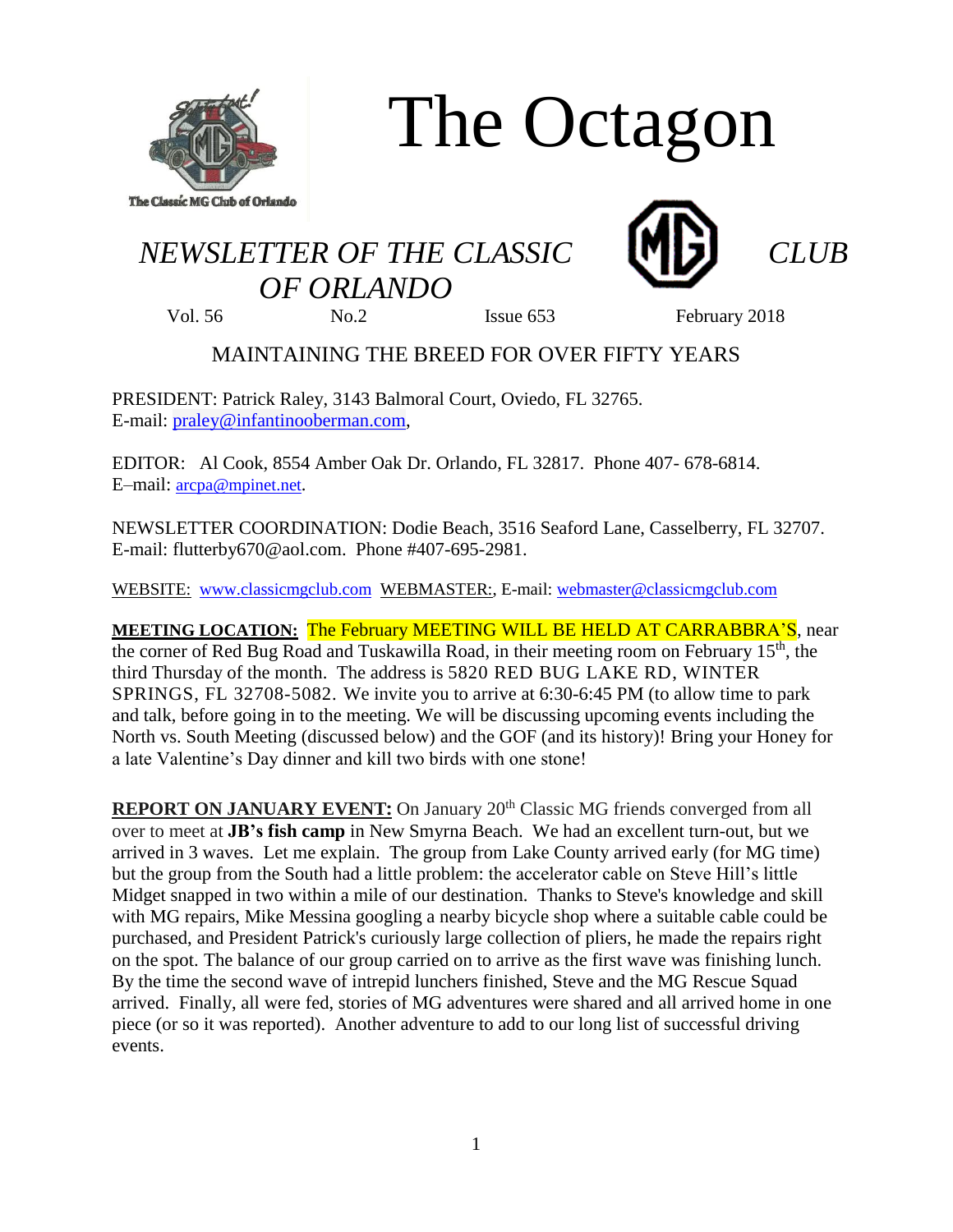

# The Octagon

# *NEWSLETTER OF THE CLASSIC CLUB OF ORLANDO*





Vol. 56 No.2 Sisue 653 February 2018

# MAINTAINING THE BREED FOR OVER FIFTY YEARS

PRESIDENT: Patrick Raley, 3143 Balmoral Court, Oviedo, FL 32765. E-mail: [praley@infantinooberman.com,](mailto:praley@infantinooberman.com)

EDITOR: Al Cook, 8554 Amber Oak Dr. Orlando, FL 32817. Phone 407- 678-6814. E–mail: [arcpa@mpinet.net](mailto:arcpa@mpinet.net).

NEWSLETTER COORDINATION: Dodie Beach, 3516 Seaford Lane, Casselberry, FL 32707. E-mail: flutterby670@aol.com. Phone #407-695-2981.

WEBSITE: [www.classicmgclub.com](http://www.classicmgclub.com/) WEBMASTER:, E-mail: [webmaster@classicmgclub.com](mailto:webmaster@classicmgclub.com)

**MEETING LOCATION:** The February MEETING WILL BE HELD AT CARRABBRA'S, near the corner of Red Bug Road and Tuskawilla Road, in their meeting room on February 15<sup>th</sup>, the third Thursday of the month. The address is 5820 RED BUG LAKE RD, WINTER SPRINGS, FL 32708-5082. We invite you to arrive at 6:30-6:45 PM (to allow time to park and talk, before going in to the meeting. We will be discussing upcoming events including the North vs. South Meeting (discussed below) and the GOF (and its history)! Bring your Honey for a late Valentine's Day dinner and kill two birds with one stone!

**REPORT ON JANUARY EVENT:** On January 20<sup>th</sup> Classic MG friends converged from all over to meet at **JB's fish camp** in New Smyrna Beach. We had an excellent turn-out, but we arrived in 3 waves. Let me explain. The group from Lake County arrived early (for MG time) but the group from the South had a little problem: the accelerator cable on Steve Hill's little Midget snapped in two within a mile of our destination. Thanks to Steve's knowledge and skill with MG repairs, Mike Messina googling a nearby bicycle shop where a suitable cable could be purchased, and President Patrick's curiously large collection of pliers, he made the repairs right on the spot. The balance of our group carried on to arrive as the first wave was finishing lunch. By the time the second wave of intrepid lunchers finished, Steve and the MG Rescue Squad arrived. Finally, all were fed, stories of MG adventures were shared and all arrived home in one piece (or so it was reported). Another adventure to add to our long list of successful driving events.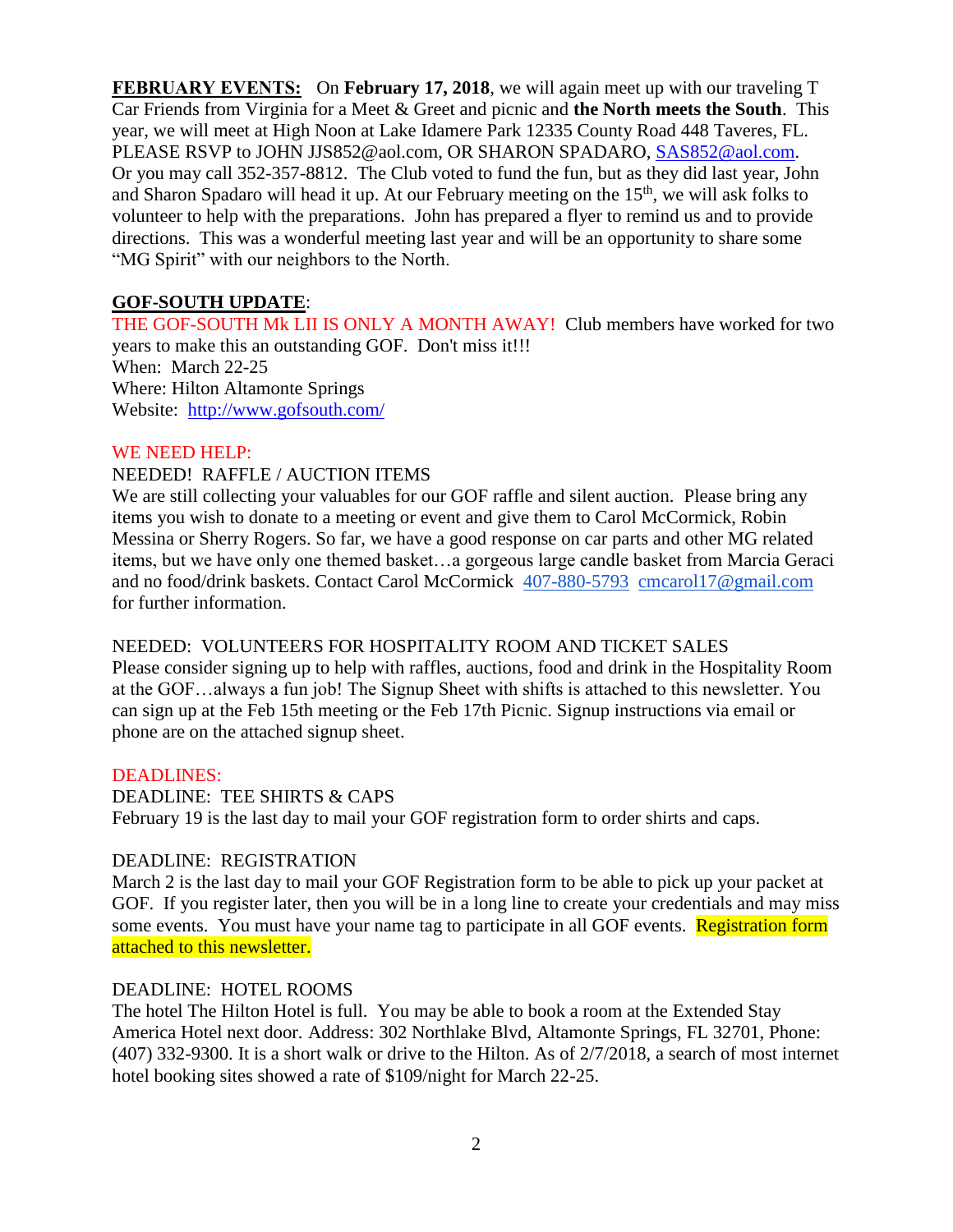**FEBRUARY EVENTS:** On **February 17, 2018**, we will again meet up with our traveling T Car Friends from Virginia for a Meet & Greet and picnic and **the North meets the South**. This year, we will meet at High Noon at Lake Idamere Park 12335 County Road 448 Taveres, FL. PLEASE RSVP to JOHN JJS852@aol.com, OR SHARON SPADARO, [SAS852@aol.com.](mailto:SAS852@aol.com) Or you may call 352-357-8812. The Club voted to fund the fun, but as they did last year, John and Sharon Spadaro will head it up. At our February meeting on the  $15<sup>th</sup>$ , we will ask folks to volunteer to help with the preparations. John has prepared a flyer to remind us and to provide directions. This was a wonderful meeting last year and will be an opportunity to share some "MG Spirit" with our neighbors to the North.

#### **GOF-SOUTH UPDATE**:

THE GOF-SOUTH Mk LII IS ONLY A MONTH AWAY! Club members have worked for two years to make this an outstanding GOF. Don't miss it!!! When: March 22-25 Where: Hilton Altamonte Springs Website: <http://www.gofsouth.com/>

#### WE NEED HELP:

#### NEEDED! RAFFLE / AUCTION ITEMS

We are still collecting your valuables for our GOF raffle and silent auction. Please bring any items you wish to donate to a meeting or event and give them to Carol McCormick, Robin Messina or Sherry Rogers. So far, we have a good response on car parts and other MG related items, but we have only one themed basket…a gorgeous large candle basket from Marcia Geraci and no food/drink baskets. Contact Carol McCormick [407-880-5793](tel:(407)%20880-5793) [cmcarol17@gmail.com](mailto:cmcarol17@gmail.com) for further information.

#### NEEDED: VOLUNTEERS FOR HOSPITALITY ROOM AND TICKET SALES

Please consider signing up to help with raffles, auctions, food and drink in the Hospitality Room at the GOF…always a fun job! The Signup Sheet with shifts is attached to this newsletter. You can sign up at the Feb 15th meeting or the Feb 17th Picnic. Signup instructions via email or phone are on the attached signup sheet.

#### DEADLINES:

DEADLINE: TEE SHIRTS & CAPS February 19 is the last day to mail your GOF registration form to order shirts and caps.

#### DEADLINE: REGISTRATION

March 2 is the last day to mail your GOF Registration form to be able to pick up your packet at GOF. If you register later, then you will be in a long line to create your credentials and may miss some events. You must have your name tag to participate in all GOF events. Registration form attached to this newsletter.

#### DEADLINE: HOTEL ROOMS

The hotel The Hilton Hotel is full. You may be able to book a room at the Extended Stay America Hotel next door. Address: 302 Northlake Blvd, Altamonte Springs, FL 32701, Phone: (407) 332-9300. It is a short walk or drive to the Hilton. As of 2/7/2018, a search of most internet hotel booking sites showed a rate of \$109/night for March 22-25.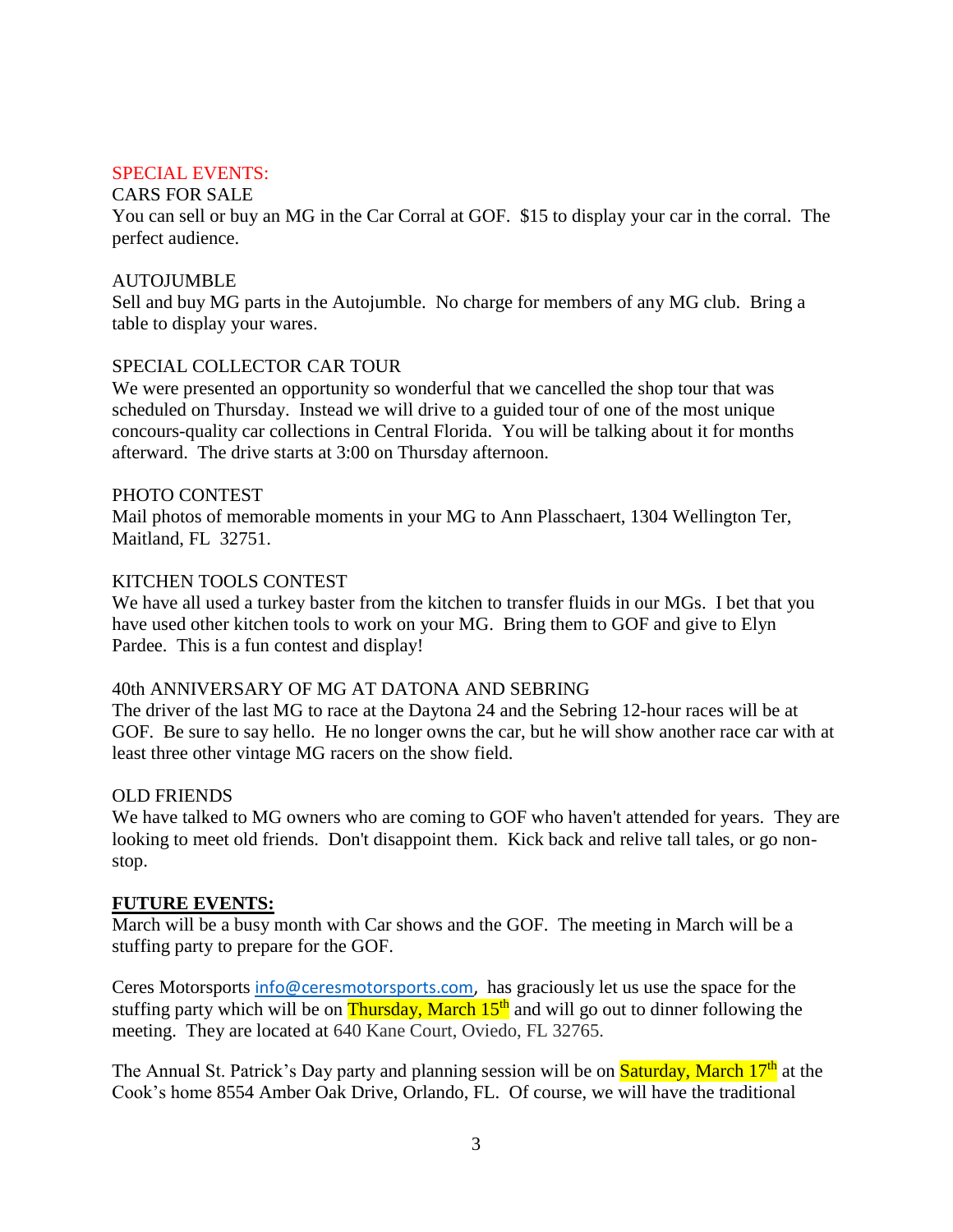#### SPECIAL EVENTS:

#### CARS FOR SALE

You can sell or buy an MG in the Car Corral at GOF. \$15 to display your car in the corral. The perfect audience.

#### AUTOJUMBLE

Sell and buy MG parts in the Autojumble. No charge for members of any MG club. Bring a table to display your wares.

#### SPECIAL COLLECTOR CAR TOUR

We were presented an opportunity so wonderful that we cancelled the shop tour that was scheduled on Thursday. Instead we will drive to a guided tour of one of the most unique concours-quality car collections in Central Florida. You will be talking about it for months afterward. The drive starts at 3:00 on Thursday afternoon.

#### PHOTO CONTEST

Mail photos of memorable moments in your MG to Ann Plasschaert, 1304 Wellington Ter, Maitland, FL 32751.

#### KITCHEN TOOLS CONTEST

We have all used a turkey baster from the kitchen to transfer fluids in our MGs. I bet that you have used other kitchen tools to work on your MG. Bring them to GOF and give to Elyn Pardee. This is a fun contest and display!

#### 40th ANNIVERSARY OF MG AT DATONA AND SEBRING

The driver of the last MG to race at the Daytona 24 and the Sebring 12-hour races will be at GOF. Be sure to say hello. He no longer owns the car, but he will show another race car with at least three other vintage MG racers on the show field.

#### OLD FRIENDS

We have talked to MG owners who are coming to GOF who haven't attended for years. They are looking to meet old friends. Don't disappoint them. Kick back and relive tall tales, or go nonstop.

#### **FUTURE EVENTS:**

March will be a busy month with Car shows and the GOF. The meeting in March will be a stuffing party to prepare for the GOF.

Ceres Motorsports [info@ceresmotorsports.com,](mailto:info@ceresmotorsports.com) has graciously let us use the space for the stuffing party which will be on Thursday, March  $15<sup>th</sup>$  and will go out to dinner following the meeting. They are located at 640 Kane Court, Oviedo, FL 32765.

The Annual St. Patrick's Day party and planning session will be on **Saturday, March 17<sup>th</sup>** at the Cook's home 8554 Amber Oak Drive, Orlando, FL. Of course, we will have the traditional